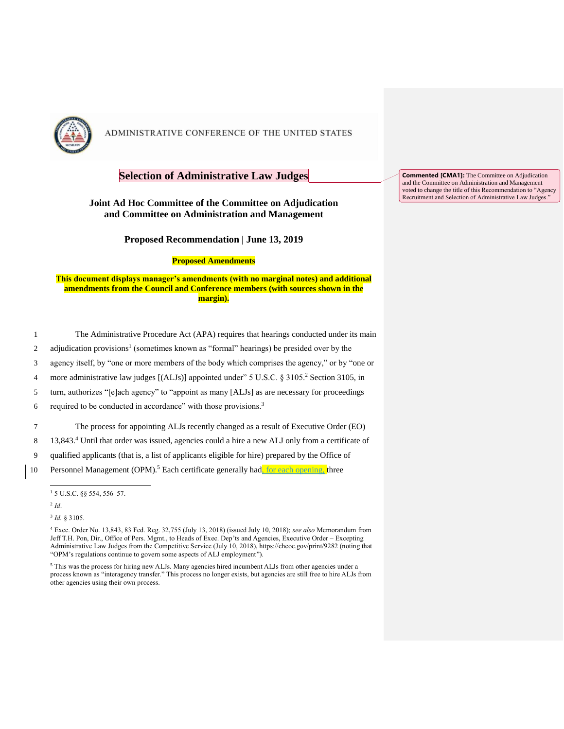

## **Selection of Administrative Law Judges**

### **Joint Ad Hoc Committee of the Committee on Adjudication and Committee on Administration and Management**

**Proposed Recommendation | June 13, 2019**

#### **Proposed Amendments**

### **This document displays manager's amendments (with no marginal notes) and additional amendments from the Council and Conference members (with sources shown in the margin).**

| The Administrative Procedure Act (APA) requires that hearings conducted under its main              |
|-----------------------------------------------------------------------------------------------------|
| adjudication provisions <sup>1</sup> (sometimes known as "formal" hearings) be presided over by the |

- 
- 3 agency itself, by "one or more members of the body which comprises the agency," or by "one or
- 4 more administrative law judges  $[(ALJs)]$  appointed under" 5 U.S.C. § 3105.<sup>2</sup> Section 3105, in
- 5 turn, authorizes "[e]ach agency" to "appoint as many [ALJs] as are necessary for proceedings
- 6 required to be conducted in accordance" with those provisions. $3$

7 The process for appointing ALJs recently changed as a result of Executive Order (EO)

- 8 13,843.<sup>4</sup> Until that order was issued, agencies could a hire a new ALJ only from a certificate of
- 9 qualified applicants (that is, a list of applicants eligible for hire) prepared by the Office of

10 Personnel Management (OPM).<sup>5</sup> Each certificate generally had, for each opening, three

2 *Id*.

j

3 *Id.* § 3105.

**Commented [CMA1]:** The Committee on Adjudication and the Committee on Administration and Management voted to change the title of this Recommendation to "Agency Recruitment and Selection of Administrative Law Judges."

<sup>1</sup> 5 U.S.C. §§ 554, 556–57.

<sup>4</sup> Exec. Order No. 13,843, 83 Fed. Reg. 32,755 (July 13, 2018) (issued July 10, 2018); *see also* Memorandum from Jeff T.H. Pon, Dir., Office of Pers. Mgmt., to Heads of Exec. Dep'ts and Agencies, Executive Order – Excepting Administrative Law Judges from the Competitive Service (July 10, 2018), https://chcoc.gov/print/9282 (noting that "OPM's regulations continue to govern some aspects of ALJ employment").

<sup>5</sup> This was the process for hiring new ALJs. Many agencies hired incumbent ALJs from other agencies under a process known as "interagency transfer." This process no longer exists, but agencies are still free to hire ALJs from other agencies using their own process.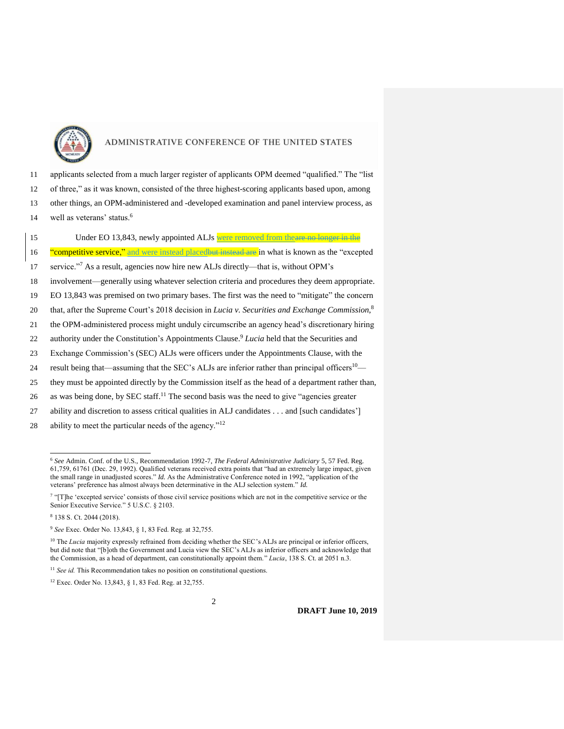

11 applicants selected from a much larger register of applicants OPM deemed "qualified." The "list 12 of three," as it was known, consisted of the three highest-scoring applicants based upon, among 13 other things, an OPM-administered and -developed examination and panel interview process, as well as veterans' status.<sup>6</sup> 14

15 Under EO 13,843, newly appointed ALJs were removed from the are no longer in the **16** "competitive service," and were instead placed but instead are in what is known as the "excepted" 17 service."<sup>7</sup> As a result, agencies now hire new ALJs directly—that is, without OPM's 18 involvement—generally using whatever selection criteria and procedures they deem appropriate. 19 EO 13,843 was premised on two primary bases. The first was the need to "mitigate" the concern that, after the Supreme Court's 2018 decision in *Lucia v. Securities and Exchange Commission*, 8 20 21 the OPM-administered process might unduly circumscribe an agency head's discretionary hiring 22 authority under the Constitution's Appointments Clause.<sup>9</sup> Lucia held that the Securities and 23 Exchange Commission's (SEC) ALJs were officers under the Appointments Clause, with the 24 result being that—assuming that the SEC's ALJs are inferior rather than principal officers<sup>10</sup>— 25 they must be appointed directly by the Commission itself as the head of a department rather than, 26 as was being done, by SEC staff.<sup>11</sup> The second basis was the need to give "agencies greater

27 ability and discretion to assess critical qualities in ALJ candidates . . . and [such candidates']

28 ability to meet the particular needs of the agency."<sup>12</sup>

<sup>8</sup> 138 S. Ct. 2044 (2018).

 $\overline{a}$ 

<sup>6</sup> *See* Admin. Conf. of the U.S., Recommendation 1992-7, *The Federal Administrative Judiciary* 5, 57 Fed. Reg. 61,759, 61761 (Dec. 29, 1992). Qualified veterans received extra points that "had an extremely large impact, given the small range in unadjusted scores." *Id.* As the Administrative Conference noted in 1992, "application of the veterans' preference has almost always been determinative in the ALJ selection system." *Id.* 

<sup>&</sup>lt;sup>7</sup> "[T]he 'excepted service' consists of those civil service positions which are not in the competitive service or the Senior Executive Service." 5 U.S.C. § 2103.

<sup>9</sup> *See* Exec. Order No. 13,843, § 1, 83 Fed. Reg. at 32,755.

<sup>&</sup>lt;sup>10</sup> The *Lucia* majority expressly refrained from deciding whether the SEC's ALJs are principal or inferior officers, but did note that "[b]oth the Government and Lucia view the SEC's ALJs as inferior officers and acknowledge that the Commission, as a head of department, can constitutionally appoint them." *Lucia*, 138 S. Ct. at 2051 n.3.

<sup>&</sup>lt;sup>11</sup> See id. This Recommendation takes no position on constitutional questions.

<sup>12</sup> Exec. Order No. 13,843, § 1, 83 Fed. Reg. at 32,755.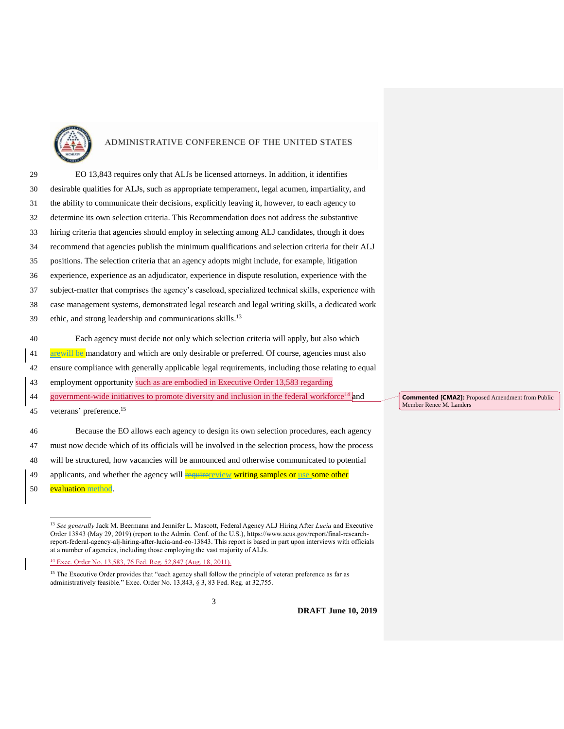

| 29 | EO 13,843 requires only that ALJs be licensed attorneys. In addition, it identifies                |
|----|----------------------------------------------------------------------------------------------------|
| 30 | desirable qualities for ALJs, such as appropriate temperament, legal acumen, impartiality, and     |
| 31 | the ability to communicate their decisions, explicitly leaving it, however, to each agency to      |
| 32 | determine its own selection criteria. This Recommendation does not address the substantive         |
| 33 | hiring criteria that agencies should employ in selecting among ALJ candidates, though it does      |
| 34 | recommend that agencies publish the minimum qualifications and selection criteria for their ALJ    |
| 35 | positions. The selection criteria that an agency adopts might include, for example, litigation     |
| 36 | experience, experience as an adjudicator, experience in dispute resolution, experience with the    |
| 37 | subject-matter that comprises the agency's caseload, specialized technical skills, experience with |
| 38 | case management systems, demonstrated legal research and legal writing skills, a dedicated work    |
| 39 | ethic, and strong leadership and communications skills. <sup>13</sup>                              |
| 40 | Each agency must decide not only which selection criteria will apply, but also which               |
|    |                                                                                                    |
| 41 | are will be mandatory and which are only desirable or preferred. Of course, agencies must also     |
| 42 | ensure compliance with generally applicable legal requirements, including those relating to equal  |
| 43 | employment opportunity such as are embodied in Executive Order 13,583 regarding                    |

44 government-wide initiatives to promote diversity and inclusion in the federal workforce<sup>14</sup> and

45 veterans' preference.<sup>15</sup>

 Because the EO allows each agency to design its own selection procedures, each agency must now decide which of its officials will be involved in the selection process, how the process will be structured, how vacancies will be announced and otherwise communicated to potential 49 applicants, and whether the agency will require *reguively* writing samples or use some other

50 evaluation method.

 $\overline{a}$ 

**Commented [CMA2]:** Proposed Amendment from Public Member Renee M. Landers

**DRAFT June 10, 2019**

<sup>13</sup> *See generally* Jack M. Beermann and Jennifer L. Mascott, Federal Agency ALJ Hiring After *Lucia* and Executive Order 13843 (May 29, 2019) (report to the Admin. Conf. of the U.S.), https://www.acus.gov/report/final-researchreport-federal-agency-alj-hiring-after-lucia-and-eo-13843. This report is based in part upon interviews with officials at a number of agencies, including those employing the vast majority of ALJs.

<sup>14</sup> Exec. Order No. 13,583, 76 Fed. Reg. 52,847 (Aug. 18, 2011).

<sup>&</sup>lt;sup>15</sup> The Executive Order provides that "each agency shall follow the principle of veteran preference as far as administratively feasible." Exec. Order No. 13,843, § 3, 83 Fed. Reg. at 32,755.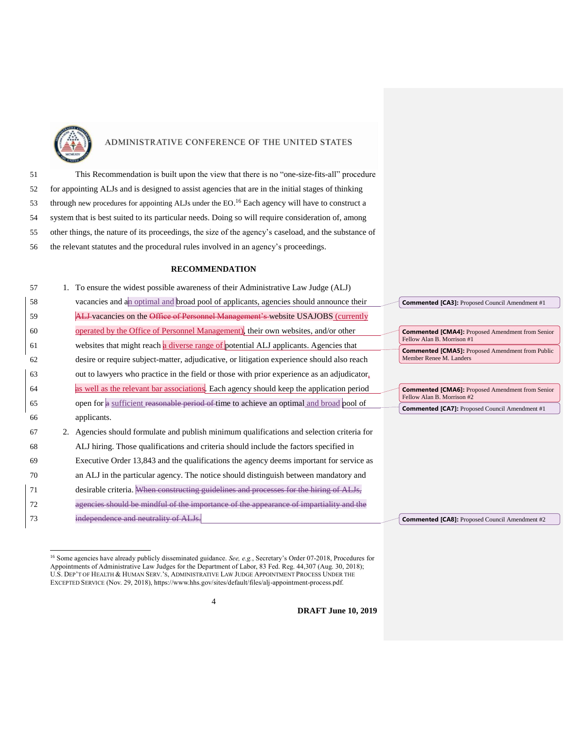

 $\overline{a}$ 

## ADMINISTRATIVE CONFERENCE OF THE UNITED STATES

 This Recommendation is built upon the view that there is no "one-size-fits-all" procedure for appointing ALJs and is designed to assist agencies that are in the initial stages of thinking through new procedures for appointing ALJs under the  $EO^{16}$  Each agency will have to construct a system that is best suited to its particular needs. Doing so will require consideration of, among other things, the nature of its proceedings, the size of the agency's caseload, and the substance of the relevant statutes and the procedural rules involved in an agency's proceedings.

#### **RECOMMENDATION**

| 57 | 1. To ensure the widest possible awareness of their Administrative Law Judge (ALJ)         |                |
|----|--------------------------------------------------------------------------------------------|----------------|
| 58 | vacancies and an optimal and broad pool of applicants, agencies should announce their      | Co             |
| 59 | ALJ-vacancies on the Office of Personnel Management's-website USAJOBS (currently           |                |
| 60 | operated by the Office of Personnel Management), their own websites, and/or other          | Co             |
| 61 | websites that might reach a diverse range of potential ALJ applicants. Agencies that       | Fel<br>Co      |
| 62 | desire or require subject-matter, adjudicative, or litigation experience should also reach | M <sub>6</sub> |
| 63 | out to lawyers who practice in the field or those with prior experience as an adjudicator, |                |
| 64 | as well as the relevant bar associations. Each agency should keep the application period   | Co             |
| 65 | open for a sufficient reasonable period of time to achieve an optimal and broad pool of    | Fel<br>Co      |
| 66 | applicants.                                                                                |                |
| 67 | 2. Agencies should formulate and publish minimum qualifications and selection criteria for |                |
| 68 | ALJ hiring. Those qualifications and criteria should include the factors specified in      |                |
| 69 | Executive Order 13,843 and the qualifications the agency deems important for service as    |                |
| 70 | an ALJ in the particular agency. The notice should distinguish between mandatory and       |                |
| 71 | desirable criteria. When constructing guidelines and processes for the hiring              |                |
| 72 | dful of the importance of the appearance                                                   |                |
| 73 | dependence and neutrality of ALJs.                                                         | Co             |
|    |                                                                                            |                |

**Commented [CA3]:** Proposed Council Amendment #1

**mmented [CMA4]:** Proposed Amendment from Senior Fellow Alan B. Morrison #1 **mmented [CMA5]:** Proposed Amendment from Public ember Renee M. Landers

**Commented [CMA6]:** Proposed Amendment from Senior Fellow Alan B. Morrison #2 **Immented [CA7]:** Proposed Council Amendment #1

**Commented [CA8]:** Proposed Council Amendment #2

4

**DRAFT June 10, 2019**

<sup>16</sup> Some agencies have already publicly disseminated guidance. *See, e.g.*, Secretary's Order 07-2018, Procedures for Appointments of Administrative Law Judges for the Department of Labor, 83 Fed. Reg. 44,307 (Aug. 30, 2018); U.S. DEP'T OF HEALTH & HUMAN SERV.'S, ADMINISTRATIVE LAW JUDGE APPOINTMENT PROCESS UNDER THE EXCEPTED SERVICE (Nov. 29, 2018), https://www.hhs.gov/sites/default/files/alj-appointment-process.pdf.